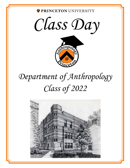PRINCETON UNIVERSITY

*Class Day*



# *Department of Anthropology Class of 2022*

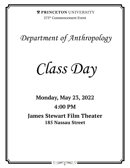**ORINCETON UNIVERSITY** 

275th Commencement Event

*Department of Anthropology*

*Class Day*

# **Monday, May 23, 2022 4:00 PM**

# **James Stewart Film Theater 185 Nassau Street**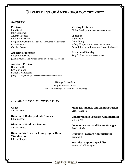# **DEPARTMENT OF ANTHROPOLOGY 2021-2022**

#### *FACULTY*

#### **Professor**

João Biehl John Borneman Agustín Fuentes Rena S. Lederman Serguei A. Oushakine, also Slavic Languages & Literatures Laurence Ralph Carolyn Rouse

#### **Associate Professor**

Elizabeth A. Davis Julia Elyachar, also Princeton Inst. Int'l & Regional Studies

#### **Assistant Professor**

Hanna Garth Ryo Morimoto Lauren Coyle Rosen Jerry C. Zee, also High Meadows Environmental Institute **Visiting Professor** Didier Fassin, Institute for Advanced Study

**Lecturer** Mark Drury Onur Günay Jeffrey Himpele, also Director of VizE Lab Aniruddhan Vasudevan, also Humanities Council

**Associated Faculty** Amy B. Borovoy, East Asian Studies

*With special thanks to* Wayne Bivens-Tatum Librarian for Philosophy, Religion and Anthropology

≫≬≪

#### *DEPARTMENT ADMINISTRATION*

**Chair** Carolyn Rouse

**Director of Undergraduate Studies** Julia Elaychar

**Director of Graduate Studies**  Carolyn Rouse

**Director, VizE Lab for Ethnographic Data Visualization** Jeffrey Himpele

**Manager, Finance and Administration** Carol A. Zanca

**Undergraduate Program Administrator** Mo Lin Yee

**Communications and Events Manager** Patricia Lieb

**Graduate Program Administrator** Ryan Noll

**Technical Support Specialist** Jeremiah LaMontagne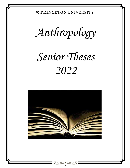**OPRINCETON UNIVERSITY** 

*Anthropology*

# *Senior Theses 2022*

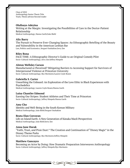Class of 2022 Anthropology Senior Thesis Title Track; Thesis advisor/Second reader

#### **Olufisayo Adeyina**

Writing at the Margin: Investigating the Possibilities of Care in the Doctor-Patient Relationship Medical Anthropology; Hanna Garth/João Biehl

#### **Alix Barry**

The Pursuit to Preserve Ever-Changing Spaces: An Ethnographic Retelling of the Beauty and Vulnerability in the American Lesbian Bar Law, Politics and Economics; Serguei Oushakine/Jerry Zee

#### **Riley Bona**

FACE TIME: A Ethnographic Director's Guide to an Original Comedy Pilot Socio-Cultural Anthropology; Jerry Zee/Jeffrey Himpele

#### **Alston Wellsley Carson**

Manufactured or Perceived? Mitigating Barriers to Accessing Support for Survivors of Interpersonal Violence at Princeton University Socio-Cultural Anthropology; Ryo Morimoto/Lauren Coyle Rosen

#### **Gabriella S. Carter**

Unearthing the Unheard: An Exploration of the Love Ethic in Black Experiences with **Psychedelics** Medical Anthropology; Lauren Coyle Rosen/Hanna Garth

#### **Luisa Chantler Edmond**

Earning Our Stripes: Student Athletes and Their Time at Princeton Socio-Cultural Anthropology; Jeffrey Himpele/Hanna Garth

#### **Amy Cho**

Identity and Well-Being in the South Korean Military Medical Anthropology; João Biehl/Serguei Oushakine

#### **Beata Elan Corcoran**

Life on Island Earth: A New Generation of Kānaka Maoli Perspectives Medical Anthropology; João Biehl/Jerry Zee

#### **Anna Jane Durak**

"Faith, Trust, and Pixie Dust:" The Creation and Continuation of "Disney Magic" in the Disney Theme Parks Socio-Cultural Anthropology; Ryo Morimoto/Jeffrey Himpele

#### **Matthew Gancayco**

Becoming an Actor by Doing: How Dramatic Preparation Interweaves Anthropology Socio-Cultural Anthropology; Jeffrey Himpele/Ryo Morimoto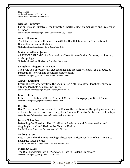Class of 2022 Anthropology Senior Thesis Title Track; Thesis advisor/Second reader

#### **Nicolas J. Gregory**

Eating Away at Ourselves: The Princeton Charter Club, Commensality, and Projects of Selfhood Socio-Cultural Anthropology; Hanna Garth/Lauren Coyle Rosen

#### **Austin Harmon**

The Effects of Limited Perspectives in Global Health Literature on Transnational Disparities in Cancer Mortality Medical Anthropology; Lauren Coyle Rosen/João Biehl

#### **Makailyn Aliyaah Jones**

AT THE CROSSROADS: An Exploration of New Orleans Vodou, Disaster, and Literary Anthropology Medical Anthropology; Elizabeth A. Davis/John Borneman

#### **Schuyler Livingston Kirk Kean**

The Evolution of Witchcraft: Neopaganism and Modern Witchcraft as a Product of Persecution, Revival, and the Internet Revolution Medical Anthropology; Lauren Coyle Rosen/Elizabeth Davis

#### **Ariadni Kertsikof**

Rescuing Psychotherapy from the Vacuum: An Anthropology of Psychotherapy as a Situated Psychological Healing Practice Socio-Cultural Anthropology; Agustín Fuentes/Elizabeth Davis

#### **Jamie J. Kim**

Listen to Her, Listen to Them: A Patient-Centered Ethnography of Breast Cancer Medical Anthropology; Agustín Fuentes/Hanna Garth

#### **Roy Kim**

His Witnesses in Princeton and to the Ends of the Earth: An Anthropological Analysis of the Culture of Missions and Evangelism Found in Princeton's Christian Fellowships Socio-Cultural Anthropology; Lauren Coyle Rosen/Ryo Morimoto

#### **Jessica N. Lambert**

Defending Our Freedom: The U.S. Military, Environmental Contamination, and Ongoing Native Land Theft in the Choctaw Nation Law, Politics and Economics; Ryo Morimoto/Julia Elyachar

#### **Andrea Latoni**

Putting an End to the Never-Ending Debate: Puerto Rican Youth on What It Means to Look Past Status Politics Socio-Cultural Anthropology; Hanna Garth/Jeffrey Himpele

#### **Matthew E. Lee**

The Dual Pandemic: Covid-19 and AAPI Hate in Oakland Chinatown Medical Anthropology; Jerry Zee/Elizabeth Davis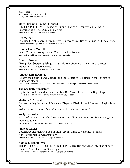Class of 2022 Anthropology Senior Thesis Title Track; Thesis advisor/Second reader

#### **Mary Elizabeth (Emme) Leonard**

"SELL BABY SELL:" The Impact of Purdue Pharma's Deceptive Marketing in Exacerbating the U.S. Opioid Epidemic Medical Anthropology; Jerry Zee/João Biehl

#### **Dee Mainali**

La Ciudad Es Mi Madre: Reproductive Healthcare Realities of Latinxs in El Paso, Texas Medical Anthropology; João Biehl/Lauren Coyle Rosen

#### **Hunter James Moffett**

Living With the Scourge of Our World: Nuclear Weapons Law, Politics and Economics; Agustín Fuentes/Ryo Morimoto

#### **Dimitris Ntaras**

Δίκαιη Μετάβαση (English: Just Transition): Reframing the Politics of the Coal Transition in Modern Greece Medical Anthropology; Elizabeth Davis/Jerry Zee

#### **Hannah Jane Reynolds**

What is the Forest? Land, Culture, and the Politics of Resilience in the Tongass of Southeast Alaska Law, Politics and Economics; Jerry Zee, Christiane Fellbaum (Computer Science)/Julia Elyachar

#### **Thomas Betterton Salotti**

Digital Technology and Musical Habitus: Our Musical Lives in the Digital Age Law, Politics and Economics; Jeffrey Himpele/Lauren Coyle Rosen

#### **Madison N. Stewart**

Deconstructing Concepts of Deviance: Disgrace, Disability and Disease in Anglo-Saxon Burials Medical Anthropology; Agustín Fuentes/Janet Kay, co-advisor (Art and Archaeology)

#### **Keely Mae Toledo**

Tó éi iiná: Water is Life, The Dakota Access Pipeline, Navajo Nation Sovereignty, and Pipelines as Kin Socio-Cultural Anthropology; Serguei Oushakine/Ryo Morimoto

#### **Frances Walker**

Deconstructing Menstruation in India: From Stigma to Visibility in Indian Non-Governmental Organizations Medical Anthropology; Hanna Garth/Agustín Fuentes

#### **Natalie Elizabeth Wei**

THE POLITICAL, THE PUBLIC, AND THE PRACTICED: Towards an Interdisciplinary, Habitus-Based Theory of Social Space Socio-Cultural Anthropology; Ryo Morimoto/Serguei Oushakine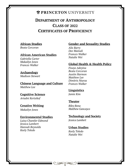# **ORINCETON UNIVERSITY**

# **DEPARTMENT OF ANTHROPOLOGY CLASS OF 2022 CERTIFICATES OF PROFICIENCY**

## **African Studies**

*Beata Corcoran*

### **African American Studies**

*Gabriella Carter Makailyn Jones Frances Walker*

# **Archaeology**

*Madison Stewart*

**Chinese Language and Culture** *Matthew Lee*

# **Cognitive Science**

*Ariadni Kertsikof*

### **Creative Writing**

*Makailyn Jones*

## **Environmental Studies**

*Luisa Chantler Edmond Jessica Lambert Hannah Reynolds Keely Toledo*

## **Gender and Sexuality Studies**

*Alix Barry Dee Mainali Frances Walker Natalie Wei*

## **Global Health & Health Policy**

*Fisayo Adeyina Beata Corcoran Austin Harmon Matthew Lee Dimitris Ntaras Frances Walker*

## **Linguistics**

*Jamie Kim*

### **Theater**

*Riley Bona Matthew Gancayco*

## **Technology and Society**

*Jessica Lambert*

# **Urban Studies**

*Keely Toledo Natalie Wei*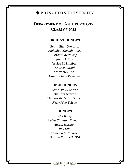# **OPRINCETON UNIVERSITY**

# **DEPARTMENT OF ANTHROPOLOGY CLASS OF 2022**

# **HIGHEST HONORS**

*Beata Elan Corcoran Makailyn Aliyaah Jones Ariadni Kertsikof Jamie J. Kim Jessica N. Lambert Andrea Latoni Matthew E. Lee Hannah Jane Reynolds* 

## **HIGH HONORS**

*Gabriella S. Carter Dimitris Ntaras Thomas Betterton Salotti Keely Mae Toledo*

### **HONORS**

*Alix Barry Luisa Chantler Edmond Austin Harmon Roy Kim Madison N. Stewart Natalie Elizabeth Wei*